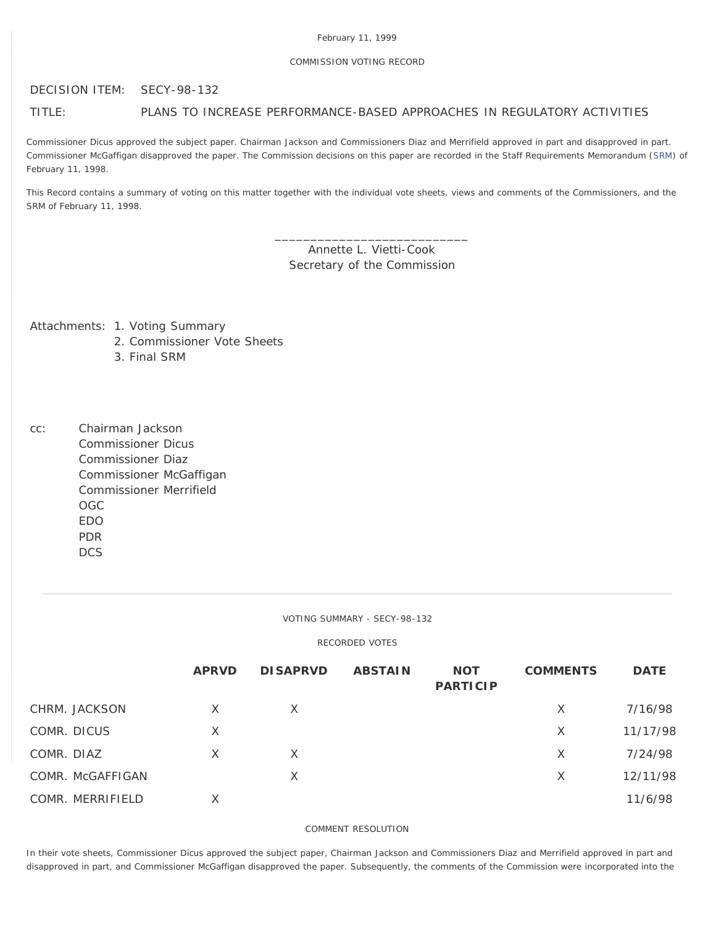### COMMISSION VOTING RECORD

DECISION ITEM: SECY-98-132

## TITLE: PLANS TO INCREASE PERFORMANCE-BASED APPROACHES IN REGULATORY ACTIVITIES

Commissioner Dicus approved the subject paper. Chairman Jackson and Commissioners Diaz and Merrifield approved in part and disapproved in part. Commissioner McGaffigan disapproved the paper. The Commission decisions on this paper are recorded in the Staff Requirements Memorandum ([SRM](http://www.nrc.gov/reading-rm/doc-collections/commission/srm/1998/1998-132srm.html)) of February 11, 1998.

This Record contains a summary of voting on this matter together with the individual vote sheets, views and comments of the Commissioners, and the SRM of February 11, 1998.

> \_\_\_\_\_\_\_\_\_\_\_\_\_\_\_\_\_\_\_\_\_\_\_\_\_\_\_ Annette L. Vietti-Cook Secretary of the Commission

Attachments: 1. Voting Summary

- 2. Commissioner Vote Sheets
- 3. Final SRM

cc: Chairman Jackson Commissioner Dicus Commissioner Diaz Commissioner McGaffigan Commissioner Merrifield OGC EDO PDR **DCS** 

VOTING SUMMARY - SECY-98-132

# RECORDED VOTES

|                  | <b>APRVD</b> | <b>DISAPRVD</b> | <b>ABSTAIN</b> | <b>NOT</b><br><b>PARTICIP</b> | <b>COMMENTS</b> | <b>DATE</b> |
|------------------|--------------|-----------------|----------------|-------------------------------|-----------------|-------------|
| CHRM. JACKSON    | X            | X               |                |                               | $\times$        | 7/16/98     |
| COMR. DICUS      | $\times$     |                 |                |                               | X               | 11/17/98    |
| COMR. DIAZ       | X            | $\times$        |                |                               | X               | 7/24/98     |
| COMR. McGAFFIGAN |              | X               |                |                               | X               | 12/11/98    |
| COMR. MERRIFIELD | X            |                 |                |                               |                 | 11/6/98     |

### COMMENT RESOLUTION

In their vote sheets, Commissioner Dicus approved the subject paper, Chairman Jackson and Commissioners Diaz and Merrifield approved in part and disapproved in part, and Commissioner McGaffigan disapproved the paper. Subsequently, the comments of the Commission were incorporated into the